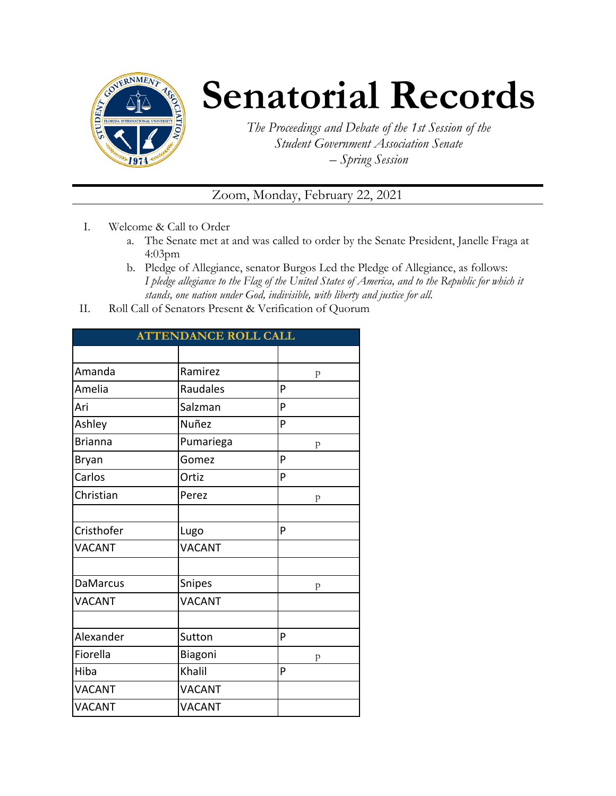

## **Senatorial Records**

*The Proceedings and Debate of the 1st Session of the Student Government Association Senate – Spring Session*

Zoom, Monday, February 22, 2021

- I. Welcome & Call to Order
	- a. The Senate met at and was called to order by the Senate President, Janelle Fraga at 4:03pm
	- b. Pledge of Allegiance, senator Burgos Led the Pledge of Allegiance, as follows: *I pledge allegiance to the Flag of the United States of America, and to the Republic for which it stands, one nation under God, indivisible, with liberty and justice for all.*
- II. Roll Call of Senators Present & Verification of Quorum

| <b>ATTENDANCE ROLL CALL</b> |               |   |  |  |  |
|-----------------------------|---------------|---|--|--|--|
|                             |               |   |  |  |  |
| Amanda                      | Ramirez       | p |  |  |  |
| Amelia                      | Raudales      | P |  |  |  |
| Ari                         | Salzman<br>P  |   |  |  |  |
| Ashley                      | Nuñez<br>P    |   |  |  |  |
| <b>Brianna</b>              | Pumariega     | p |  |  |  |
| Bryan                       | Gomez         | P |  |  |  |
| Carlos                      | Ortiz         | P |  |  |  |
| Christian                   | Perez         | p |  |  |  |
|                             |               |   |  |  |  |
| Cristhofer                  | Lugo          | P |  |  |  |
| <b>VACANT</b>               | <b>VACANT</b> |   |  |  |  |
|                             |               |   |  |  |  |
| <b>DaMarcus</b>             | Snipes        | p |  |  |  |
| <b>VACANT</b>               | <b>VACANT</b> |   |  |  |  |
|                             |               |   |  |  |  |
| Alexander                   | Sutton        | P |  |  |  |
| Fiorella                    | Biagoni       | p |  |  |  |
| Hiba                        | Khalil        | P |  |  |  |
| <b>VACANT</b>               | <b>VACANT</b> |   |  |  |  |
| <b>VACANT</b>               | <b>VACANT</b> |   |  |  |  |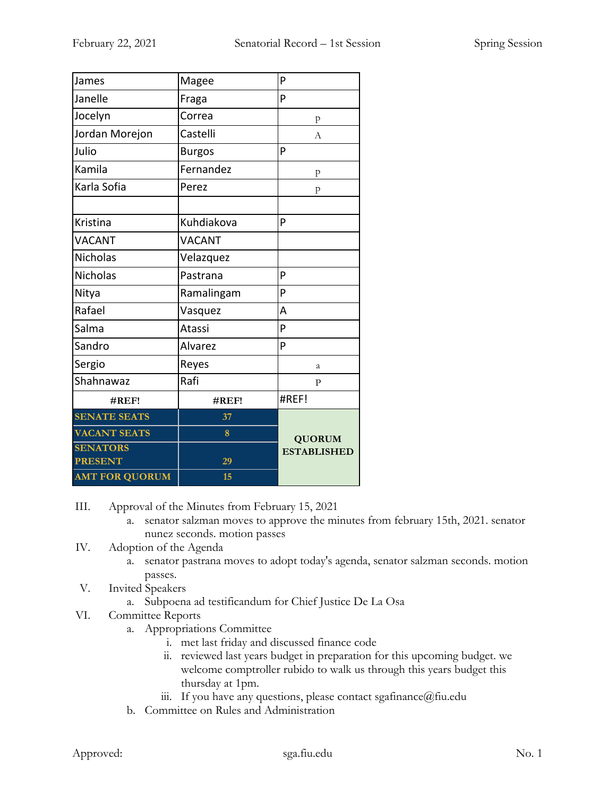| James                 | Magee         | P                  |  |
|-----------------------|---------------|--------------------|--|
| Janelle               | Fraga         | P                  |  |
| Jocelyn               | Correa        | p                  |  |
| Jordan Morejon        | Castelli      | А                  |  |
| Julio                 | <b>Burgos</b> | P                  |  |
| Kamila                | Fernandez     | p                  |  |
| Karla Sofia           | Perez         | p                  |  |
|                       |               |                    |  |
| Kristina              | Kuhdiakova    | P                  |  |
| <b>VACANT</b>         | <b>VACANT</b> |                    |  |
| <b>Nicholas</b>       | Velazquez     |                    |  |
| <b>Nicholas</b>       | Pastrana      | P                  |  |
| Nitya                 | Ramalingam    | P                  |  |
| Rafael                | Vasquez       | A                  |  |
| Salma                 | Atassi        | P                  |  |
| Sandro                | Alvarez       | P                  |  |
| Sergio                | Reyes         | a                  |  |
| Shahnawaz             | Rafi          | P                  |  |
| #REF!                 | #REF!         | #REF!              |  |
| <b>SENATE SEATS</b>   | 37            |                    |  |
| <b>VACANT SEATS</b>   | 8             | <b>QUORUM</b>      |  |
| <b>SENATORS</b>       |               | <b>ESTABLISHED</b> |  |
| <b>PRESENT</b>        | 29            |                    |  |
| <b>AMT FOR QUORUM</b> | 15            |                    |  |

III. Approval of the Minutes from February 15, 2021

- a. senator salzman moves to approve the minutes from february 15th, 2021. senator nunez seconds. motion passes
- IV. Adoption of the Agenda
	- a. senator pastrana moves to adopt today's agenda, senator salzman seconds. motion passes.
- V. Invited Speakers
	- a. Subpoena ad testificandum for Chief Justice De La Osa
- VI. Committee Reports
	- a. Appropriations Committee
		- i. met last friday and discussed finance code
		- ii. reviewed last years budget in preparation for this upcoming budget. we welcome comptroller rubido to walk us through this years budget this thursday at 1pm.
		- iii. If you have any questions, please contact sgafinance  $\omega$  fiu.edu
	- b. Committee on Rules and Administration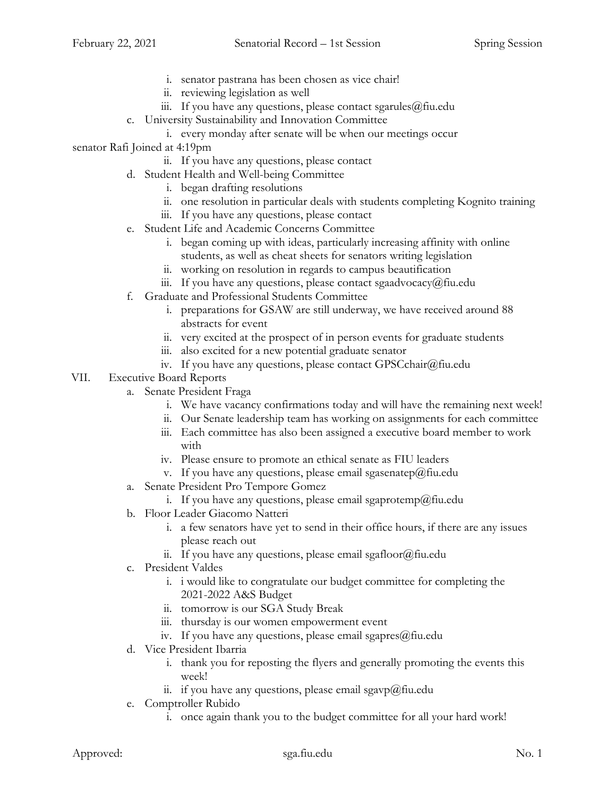- i. senator pastrana has been chosen as vice chair!
- ii. reviewing legislation as well
- iii. If you have any questions, please contact sgarules $@$ fiu.edu
- c. University Sustainability and Innovation Committee
	- i. every monday after senate will be when our meetings occur

senator Rafi Joined at 4:19pm

- ii. If you have any questions, please contact
- d. Student Health and Well-being Committee
	- i. began drafting resolutions
	- ii. one resolution in particular deals with students completing Kognito training
	- iii. If you have any questions, please contact
- e. Student Life and Academic Concerns Committee
	- i. began coming up with ideas, particularly increasing affinity with online students, as well as cheat sheets for senators writing legislation
	- ii. working on resolution in regards to campus beautification
	- iii. If you have any questions, please contact sgaadvocacy@fiu.edu
- f. Graduate and Professional Students Committee
	- i. preparations for GSAW are still underway, we have received around 88 abstracts for event
	- ii. very excited at the prospect of in person events for graduate students
	- iii. also excited for a new potential graduate senator
	- iv. If you have any questions, please contact GPSCchair@fiu.edu
- VII. Executive Board Reports
	- a. Senate President Fraga
		- i. We have vacancy confirmations today and will have the remaining next week!
		- ii. Our Senate leadership team has working on assignments for each committee
		- iii. Each committee has also been assigned a executive board member to work with
		- iv. Please ensure to promote an ethical senate as FIU leaders
		- v. If you have any questions, please email sgasenatep@fiu.edu
	- a. Senate President Pro Tempore Gomez
		- i. If you have any questions, please email sgaprotemp@fiu.edu
	- b. Floor Leader Giacomo Natteri
		- i. a few senators have yet to send in their office hours, if there are any issues please reach out
		- ii. If you have any questions, please email sgafloor $@$ fiu.edu
	- c. President Valdes
		- i. i would like to congratulate our budget committee for completing the 2021-2022 A&S Budget
		- ii. tomorrow is our SGA Study Break
		- iii. thursday is our women empowerment event
		- iv. If you have any questions, please email sgapres $@$ fiu.edu
	- d. Vice President Ibarria
		- i. thank you for reposting the flyers and generally promoting the events this week!
		- ii. if you have any questions, please email sgavp@fiu.edu
	- e. Comptroller Rubido
		- i. once again thank you to the budget committee for all your hard work!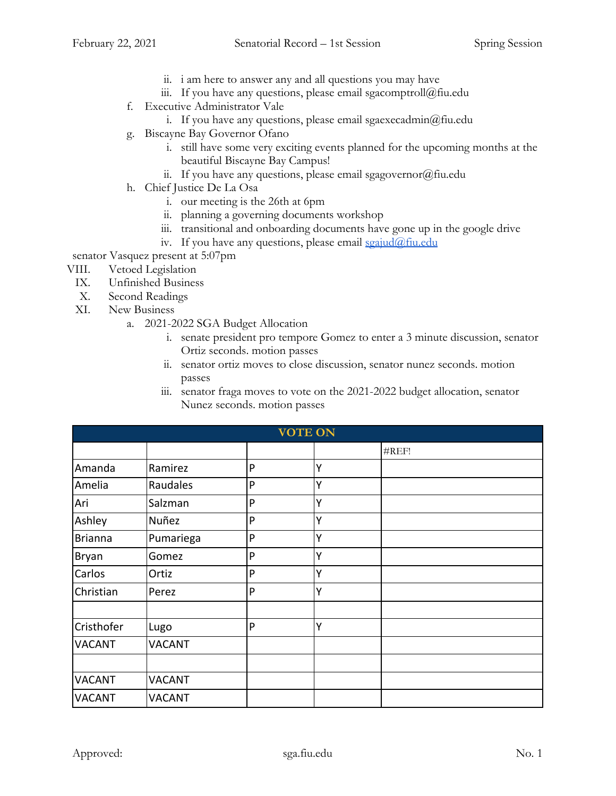- ii. i am here to answer any and all questions you may have
- iii. If you have any questions, please email sgacomptroll@fiu.edu
- f. Executive Administrator Vale
	- i. If you have any questions, please email sgaexecadmin $@$ fiu.edu
- g. Biscayne Bay Governor Ofano
	- i. still have some very exciting events planned for the upcoming months at the beautiful Biscayne Bay Campus!
	- ii. If you have any questions, please email sgagovernor $(\partial)$ fiu.edu
- h. Chief Justice De La Osa
	- i. our meeting is the 26th at 6pm
	- ii. planning a governing documents workshop
	- iii. transitional and onboarding documents have gone up in the google drive
	- iv. If you have any questions, please email [sgajud@fiu.edu](mailto:sgajud@fiu.edu)
- senator Vasquez present at 5:07pm
- VIII. Vetoed Legislation
	- IX. Unfinished Business
	- X. Second Readings
	- XI. New Business
		- a. 2021-2022 SGA Budget Allocation
			- i. senate president pro tempore Gomez to enter a 3 minute discussion, senator Ortiz seconds. motion passes
			- ii. senator ortiz moves to close discussion, senator nunez seconds. motion passes
			- iii. senator fraga moves to vote on the 2021-2022 budget allocation, senator Nunez seconds. motion passes

| <b>VOTE ON</b> |               |   |   |       |  |
|----------------|---------------|---|---|-------|--|
|                |               |   |   | #REF! |  |
| Amanda         | Ramirez       | P | Y |       |  |
| Amelia         | Raudales      | P | Y |       |  |
| Ari            | Salzman       | P | Υ |       |  |
| Ashley         | Nuñez         | P | Y |       |  |
| <b>Brianna</b> | Pumariega     | P | Y |       |  |
| Bryan          | Gomez         | P | v |       |  |
| Carlos         | Ortiz         | P | Υ |       |  |
| Christian      | Perez         | P | Y |       |  |
|                |               |   |   |       |  |
| Cristhofer     | Lugo          | P | Υ |       |  |
| <b>VACANT</b>  | <b>VACANT</b> |   |   |       |  |
|                |               |   |   |       |  |
| <b>VACANT</b>  | <b>VACANT</b> |   |   |       |  |
| <b>VACANT</b>  | <b>VACANT</b> |   |   |       |  |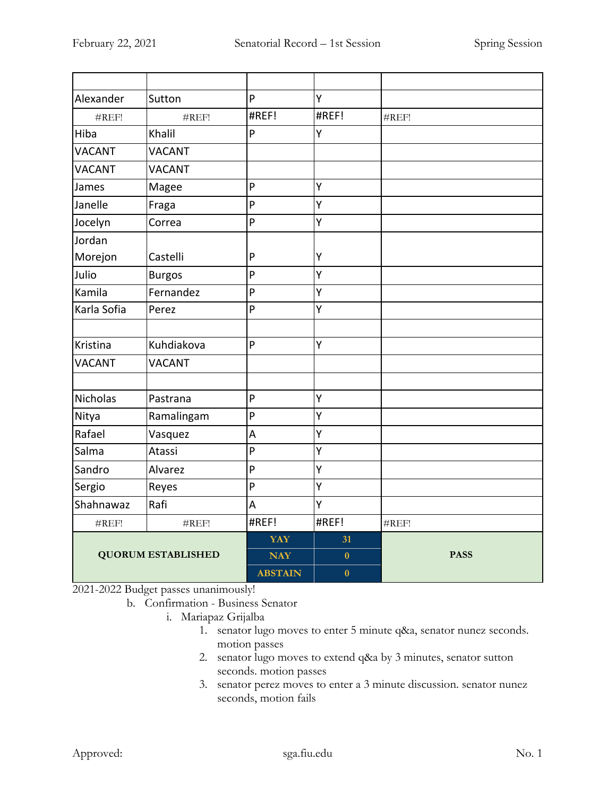| Alexander                 | Sutton        | P              | Υ        |                   |
|---------------------------|---------------|----------------|----------|-------------------|
| #REF!                     | #REF!         | #REF!          | #REF!    | $\#REF!$          |
| Hiba                      | Khalil        | $\overline{P}$ | Ÿ        |                   |
| <b>VACANT</b>             | <b>VACANT</b> |                |          |                   |
| <b>VACANT</b>             | <b>VACANT</b> |                |          |                   |
| James                     | Magee         | P              | Y        |                   |
| Janelle                   | Fraga         | P              | Υ        |                   |
| Jocelyn                   | Correa        | $\overline{P}$ | Y        |                   |
| Jordan                    |               |                |          |                   |
| Morejon                   | Castelli      | P              | Υ        |                   |
| Julio                     | <b>Burgos</b> | P              | Υ        |                   |
| Kamila                    | Fernandez     | P              | Υ        |                   |
| Karla Sofia               | Perez         | P              | Ÿ        |                   |
|                           |               |                |          |                   |
| Kristina                  | Kuhdiakova    | $\overline{P}$ | Y        |                   |
| <b>VACANT</b>             | <b>VACANT</b> |                |          |                   |
|                           |               |                |          |                   |
| <b>Nicholas</b>           | Pastrana      | P              | Υ        |                   |
| Nitya                     | Ramalingam    | P              | Υ        |                   |
| Rafael                    | Vasquez       | A              | Y        |                   |
| Salma                     | Atassi        | $\mathsf{P}$   | Υ        |                   |
| Sandro                    | Alvarez       | ${\sf P}$      | Υ        |                   |
| Sergio                    | Reyes         | P              | Υ        |                   |
| Shahnawaz                 | Rafi          | A              | Υ        |                   |
| #REF!                     | #REF!         | #REF!          | #REF!    | $\#\mathrm{REF}!$ |
| <b>QUORUM ESTABLISHED</b> |               | YAY            | 31       |                   |
|                           |               | <b>NAY</b>     | $\bf{0}$ | <b>PASS</b>       |
|                           |               | <b>ABSTAIN</b> | $\bf{0}$ |                   |

2021-2022 Budget passes unanimously!

- b. Confirmation Business Senator
	- i. Mariapaz Grijalba
		- 1. senator lugo moves to enter 5 minute q&a, senator nunez seconds. motion passes
		- 2. senator lugo moves to extend q&a by 3 minutes, senator sutton seconds. motion passes
		- 3. senator perez moves to enter a 3 minute discussion. senator nunez seconds, motion fails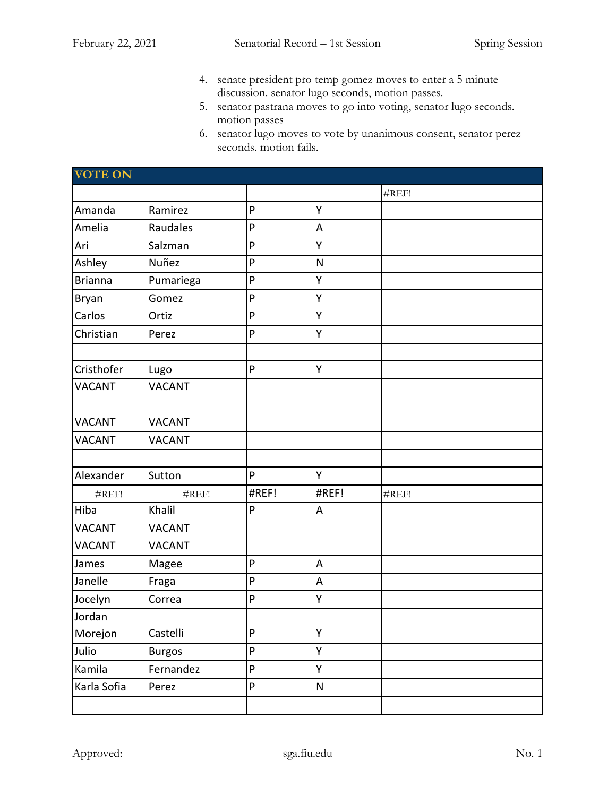- 4. senate president pro temp gomez moves to enter a 5 minute discussion. senator lugo seconds, motion passes.
- 5. senator pastrana moves to go into voting, senator lugo seconds. motion passes
- 6. senator lugo moves to vote by unanimous consent, senator perez seconds. motion fails.

| <b>VOTE ON</b> |               |           |                         |                   |  |
|----------------|---------------|-----------|-------------------------|-------------------|--|
|                |               |           |                         | #REF!             |  |
| Amanda         | Ramirez       | P         | Υ                       |                   |  |
| Amelia         | Raudales      | P         | A                       |                   |  |
| Ari            | Salzman       | P         | Y                       |                   |  |
| Ashley         | Nuñez         | P         | ${\sf N}$               |                   |  |
| <b>Brianna</b> | Pumariega     | P         | Y                       |                   |  |
| Bryan          | Gomez         | P         | Y                       |                   |  |
| Carlos         | Ortiz         | ${\sf P}$ | Υ                       |                   |  |
| Christian      | Perez         | ${\sf P}$ | Υ                       |                   |  |
|                |               |           |                         |                   |  |
| Cristhofer     | Lugo          | P         | Y                       |                   |  |
| <b>VACANT</b>  | <b>VACANT</b> |           |                         |                   |  |
|                |               |           |                         |                   |  |
| <b>VACANT</b>  | <b>VACANT</b> |           |                         |                   |  |
| <b>VACANT</b>  | <b>VACANT</b> |           |                         |                   |  |
|                |               |           |                         |                   |  |
| Alexander      | Sutton        | P         | Ý                       |                   |  |
| #REF!          | #REF!         | #REF!     | #REF!                   | $\#\mathrm{REF}!$ |  |
| Hiba           | Khalil        | P         | A                       |                   |  |
| <b>VACANT</b>  | <b>VACANT</b> |           |                         |                   |  |
| <b>VACANT</b>  | <b>VACANT</b> |           |                         |                   |  |
| James          | Magee         | P         | A                       |                   |  |
| Janelle        | Fraga         | P         | A                       |                   |  |
| Jocelyn        | Correa        | P         | Υ                       |                   |  |
| Jordan         |               |           |                         |                   |  |
| Morejon        | Castelli      | ${\sf P}$ | Υ                       |                   |  |
| Julio          | <b>Burgos</b> | P         | Y                       |                   |  |
| Kamila         | Fernandez     | P         | Y                       |                   |  |
| Karla Sofia    | Perez         | P         | $\overline{\mathsf{N}}$ |                   |  |
|                |               |           |                         |                   |  |